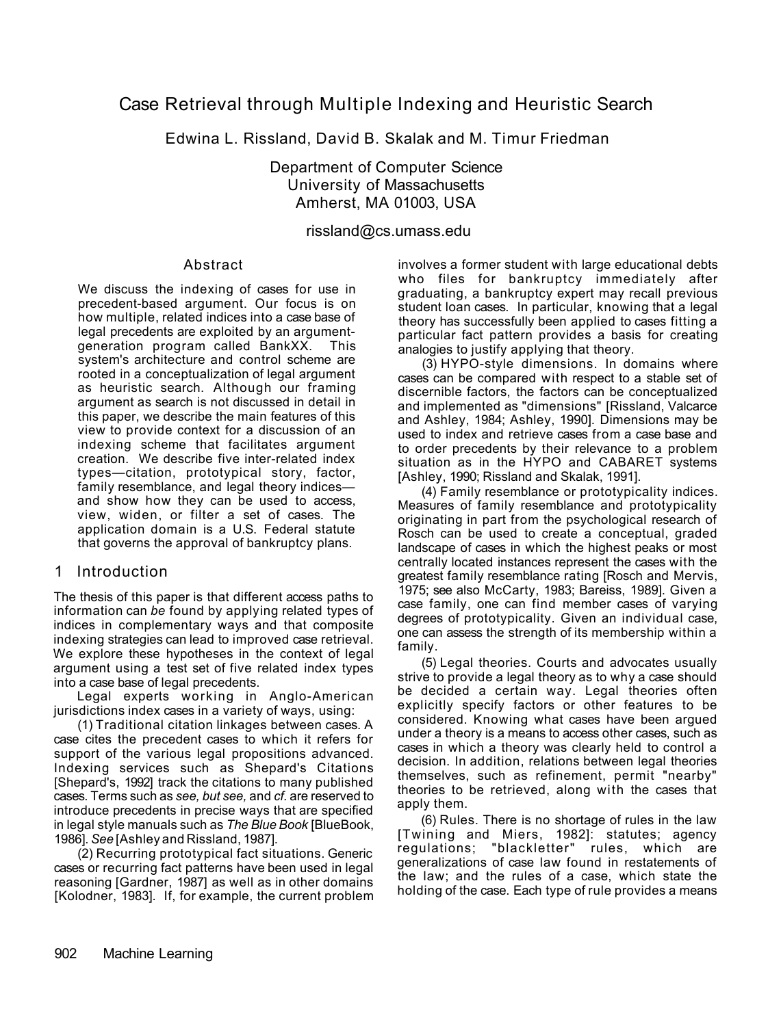# Case Retrieval through Multiple Indexing and Heuristic Search

Edwina L. Rissland, David B. Skalak and M. Timur Friedman

Department of Computer Science University of Massachusetts Amherst, MA 01003, USA

### rissland@cs.umass.edu

### Abstract

We discuss the indexing of cases for use in precedent-based argument. Our focus is on how multiple, related indices into a case base of legal precedents are exploited by an argumentgeneration program called BankXX. This system's architecture and control scheme are rooted in a conceptualization of legal argument as heuristic search. Although our framing argument as search is not discussed in detail in this paper, we describe the main features of this view to provide context for a discussion of an indexing scheme that facilitates argument creation. We describe five inter-related index types—citation, prototypical story, factor, family resemblance, and legal theory indices and show how they can be used to access, view, widen, or filter a set of cases. The application domain is a U.S. Federal statute that governs the approval of bankruptcy plans.

# 1 Introduction

The thesis of this paper is that different access paths to information can *be* found by applying related types of indices in complementary ways and that composite indexing strategies can lead to improved case retrieval. We explore these hypotheses in the context of legal argument using a test set of five related index types into a case base of legal precedents.

Legal experts working in Anglo-American jurisdictions index cases in a variety of ways, using:

(1) Traditional citation linkages between cases. A case cites the precedent cases to which it refers for support of the various legal propositions advanced. Indexing services such as Shepard's Citations [Shepard's, 1992] track the citations to many published cases. Terms such as *see, but see,* and *cf.* are reserved to introduce precedents in precise ways that are specified in legal style manuals such as *The Blue Book* [BlueBook, 1986]. *See* [Ashley and Rissland, 1987].

(2) Recurring prototypical fact situations. Generic cases or recurring fact patterns have been used in legal reasoning [Gardner, 1987] as well as in other domains [Kolodner, 1983]. If, for example, the current problem involves a former student with large educational debts who files for bankruptcy immediately after graduating, a bankruptcy expert may recall previous student loan cases. In particular, knowing that a legal theory has successfully been applied to cases fitting a particular fact pattern provides a basis for creating analogies to justify applying that theory.

(3) HYPO-style dimensions. In domains where cases can be compared with respect to a stable set of discernible factors, the factors can be conceptualized and implemented as "dimensions" [Rissland, Valcarce and Ashley, 1984; Ashley, 1990]. Dimensions may be used to index and retrieve cases from a case base and to order precedents by their relevance to a problem situation as in the HYPO and CABARET systems [Ashley, 1990; Rissland and Skalak, 1991].

(4) Family resemblance or prototypicality indices. Measures of family resemblance and prototypicality originating in part from the psychological research of Rosch can be used to create a conceptual, graded landscape of cases in which the highest peaks or most centrally located instances represent the cases with the greatest family resemblance rating [Rosch and Mervis, 1975; see also McCarty, 1983; Bareiss, 1989]. Given a case family, one can find member cases of varying degrees of prototypicality. Given an individual case, one can assess the strength of its membership within a family.

(5) Legal theories. Courts and advocates usually strive to provide a legal theory as to why a case should be decided a certain way. Legal theories often explicitly specify factors or other features to be considered. Knowing what cases have been argued under a theory is a means to access other cases, such as cases in which a theory was clearly held to control a decision. In addition, relations between legal theories themselves, such as refinement, permit "nearby" theories to be retrieved, along with the cases that apply them.

(6) Rules. There is no shortage of rules in the law [Twining and Miers, 1982]: statutes; agency regulations; "blackletter" rules, which are generalizations of case law found in restatements of the law; and the rules of a case, which state the holding of the case. Each type of rule provides a means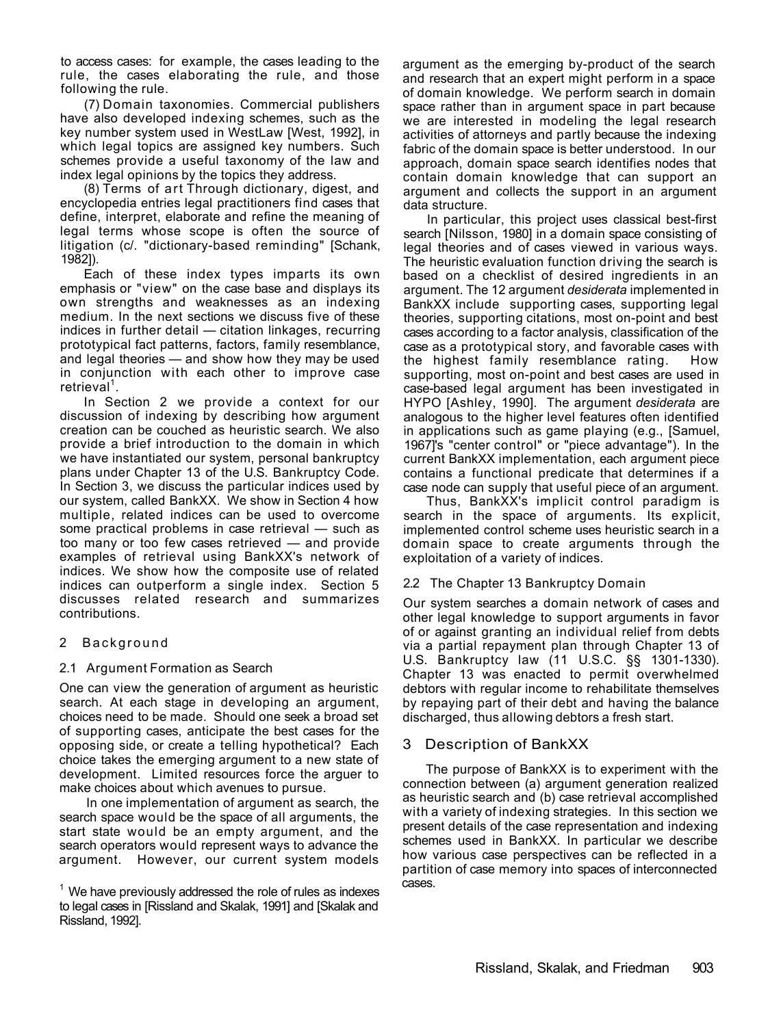to access cases: for example, the cases leading to the rule, the cases elaborating the rule, and those following the rule.

(7) Domain taxonomies. Commercial publishers have also developed indexing schemes, such as the key number system used in WestLaw [West, 1992], in which legal topics are assigned key numbers. Such schemes provide a useful taxonomy of the law and index legal opinions by the topics they address.

(8) Terms of art Through dictionary, digest, and encyclopedia entries legal practitioners find cases that define, interpret, elaborate and refine the meaning of legal terms whose scope is often the source of litigation (c/. "dictionary-based reminding" [Schank, 1982]).

Each of these index types imparts its own emphasis or "view" on the case base and displays its own strengths and weaknesses as an indexing medium. In the next sections we discuss five of these indices in further detail — citation linkages, recurring prototypical fact patterns, factors, family resemblance, and legal theories — and show how they may be used in conjunction with each other to improve case  $retrieval<sup>1</sup>$ .

In Section 2 we provide a context for our discussion of indexing by describing how argument creation can be couched as heuristic search. We also provide a brief introduction to the domain in which we have instantiated our system, personal bankruptcy plans under Chapter 13 of the U.S. Bankruptcy Code. In Section 3, we discuss the particular indices used by our system, called BankXX. We show in Section 4 how multiple, related indices can be used to overcome some practical problems in case retrieval — such as too many or too few cases retrieved — and provide examples of retrieval using BankXX's network of indices. We show how the composite use of related indices can outperform a single index. Section 5 discusses related research and summarizes contributions.

### 2 Background

#### 2.1 Argument Formation as Search

One can view the generation of argument as heuristic search. At each stage in developing an argument, choices need to be made. Should one seek a broad set of supporting cases, anticipate the best cases for the opposing side, or create a telling hypothetical? Each choice takes the emerging argument to a new state of development. Limited resources force the arguer to make choices about which avenues to pursue.

In one implementation of argument as search, the search space would be the space of all arguments, the start state would be an empty argument, and the search operators would represent ways to advance the argument. However, our current system models

argument as the emerging by-product of the search and research that an expert might perform in a space of domain knowledge. We perform search in domain space rather than in argument space in part because we are interested in modeling the legal research activities of attorneys and partly because the indexing fabric of the domain space is better understood. In our approach, domain space search identifies nodes that contain domain knowledge that can support an argument and collects the support in an argument data structure.

In particular, this project uses classical best-first search [Nilsson, 1980] in a domain space consisting of legal theories and of cases viewed in various ways. The heuristic evaluation function driving the search is based on a checklist of desired ingredients in an argument. The 12 argument *desiderata* implemented in BankXX include supporting cases, supporting legal theories, supporting citations, most on-point and best cases according to a factor analysis, classification of the case as a prototypical story, and favorable cases with the highest family resemblance rating. How supporting, most on-point and best cases are used in case-based legal argument has been investigated in HYPO [Ashley, 1990]. The argument *desiderata* are analogous to the higher level features often identified in applications such as game playing (e.g., [Samuel, 1967]'s "center control" or "piece advantage"). In the current BankXX implementation, each argument piece contains a functional predicate that determines if a case node can supply that useful piece of an argument.

Thus, BankXX's implicit control paradigm is search in the space of arguments. Its explicit, implemented control scheme uses heuristic search in a domain space to create arguments through the exploitation of a variety of indices.

#### 2.2 The Chapter 13 Bankruptcy Domain

Our system searches a domain network of cases and other legal knowledge to support arguments in favor of or against granting an individual relief from debts via a partial repayment plan through Chapter 13 of U.S. Bankruptcy law (11 U.S.C. §§ 1301-1330). Chapter 13 was enacted to permit overwhelmed debtors with regular income to rehabilitate themselves by repaying part of their debt and having the balance discharged, thus allowing debtors a fresh start.

### 3 Description of BankXX

The purpose of BankXX is to experiment with the connection between (a) argument generation realized as heuristic search and (b) case retrieval accomplished with a variety of indexing strategies. In this section we present details of the case representation and indexing schemes used in BankXX. In particular we describe how various case perspectives can be reflected in a partition of case memory into spaces of interconnected cases.

 $1$  We have previously addressed the role of rules as indexes to legal cases in [Rissland and Skalak, 1991] and [Skalak and Rissland, 1992].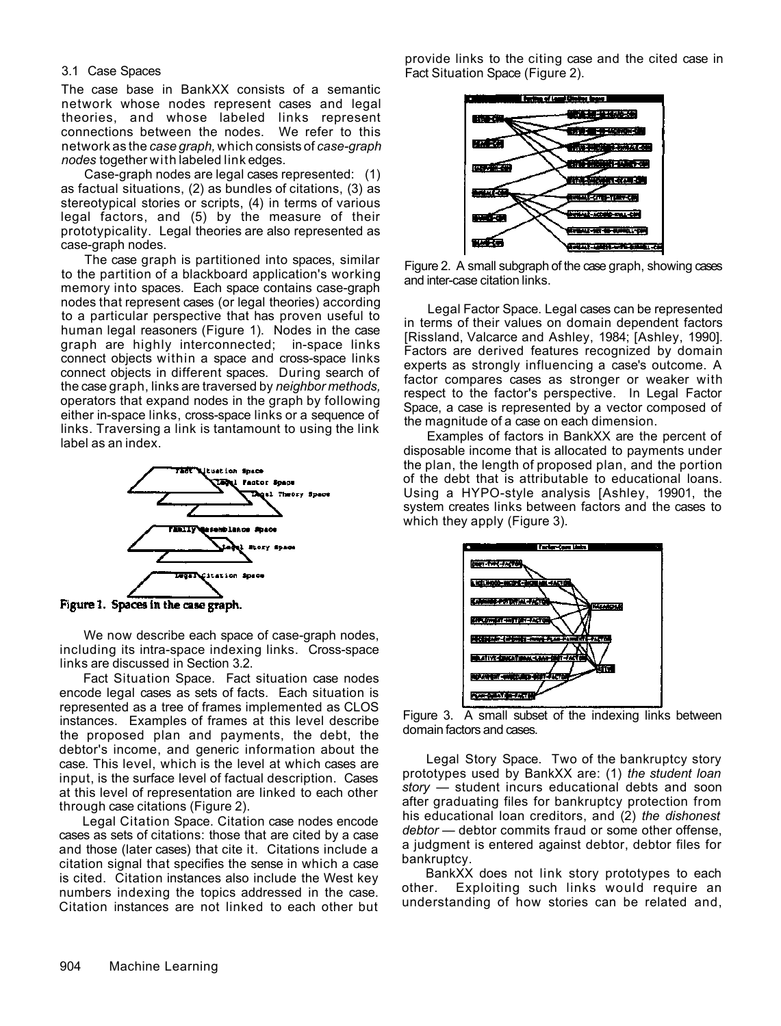#### 3.1 Case Spaces

The case base in BankXX consists of a semantic network whose nodes represent cases and legal theories, and whose labeled links represent connections between the nodes. We refer to this network as the *case graph,* which consists of *case-graph nodes* together with labeled link edges.

Case-graph nodes are legal cases represented: (1) as factual situations, (2) as bundles of citations, (3) as stereotypical stories or scripts, (4) in terms of various legal factors, and (5) by the measure of their prototypicality. Legal theories are also represented as case-graph nodes.

The case graph is partitioned into spaces, similar to the partition of a blackboard application's working memory into spaces. Each space contains case-graph nodes that represent cases (or legal theories) according to a particular perspective that has proven useful to human legal reasoners (Figure 1). Nodes in the case graph are highly interconnected; in-space links connect objects within a space and cross-space links connect objects in different spaces. During search of the case graph, links are traversed by *neighbor methods,*  operators that expand nodes in the graph by following either in-space links, cross-space links or a sequence of links. Traversing a link is tantamount to using the link label as an index.



Figure 1. Spaces in the case graph.

We now describe each space of case-graph nodes, including its intra-space indexing links. Cross-space links are discussed in Section 3.2.

Fact Situation Space. Fact situation case nodes encode legal cases as sets of facts. Each situation is represented as a tree of frames implemented as CLOS instances. Examples of frames at this level describe the proposed plan and payments, the debt, the debtor's income, and generic information about the case. This level, which is the level at which cases are input, is the surface level of factual description. Cases at this level of representation are linked to each other through case citations (Figure 2).

Legal Citation Space. Citation case nodes encode cases as sets of citations: those that are cited by a case and those (later cases) that cite it. Citations include a citation signal that specifies the sense in which a case is cited. Citation instances also include the West key numbers indexing the topics addressed in the case. Citation instances are not linked to each other but provide links to the citing case and the cited case in Fact Situation Space (Figure 2).



Figure 2. A small subgraph of the case graph, showing cases and inter-case citation links.

Legal Factor Space. Legal cases can be represented in terms of their values on domain dependent factors [Rissland, Valcarce and Ashley, 1984; [Ashley, 1990]. Factors are derived features recognized by domain experts as strongly influencing a case's outcome. A factor compares cases as stronger or weaker with respect to the factor's perspective. In Legal Factor Space, a case is represented by a vector composed of the magnitude of a case on each dimension.

Examples of factors in BankXX are the percent of disposable income that is allocated to payments under the plan, the length of proposed plan, and the portion of the debt that is attributable to educational loans. Using a HYPO-style analysis [Ashley, 19901, the system creates links between factors and the cases to which they apply (Figure 3).



Figure 3. A small subset of the indexing links between domain factors and cases.

Legal Story Space. Two of the bankruptcy story prototypes used by BankXX are: (1) *the student loan story* — student incurs educational debts and soon after graduating files for bankruptcy protection from his educational loan creditors, and (2) *the dishonest debtor* — debtor commits fraud or some other offense, a judgment is entered against debtor, debtor files for bankruptcy.

BankXX does not link story prototypes to each other. Exploiting such links would require an understanding of how stories can be related and,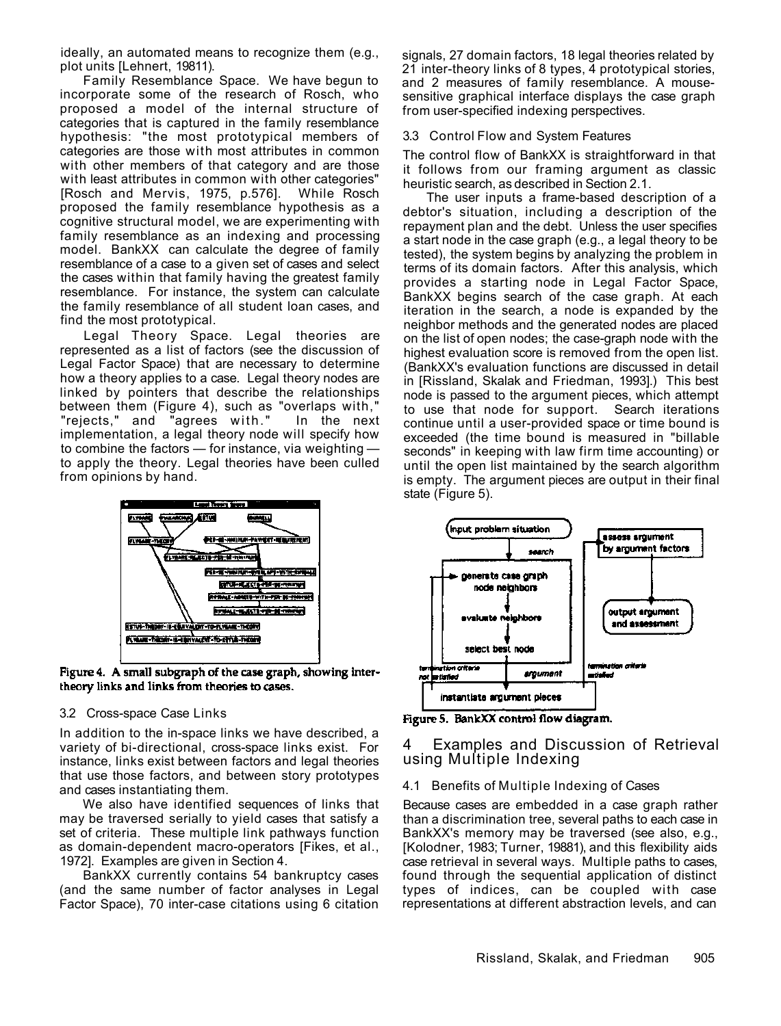ideally, an automated means to recognize them (e.g., plot units [Lehnert, 19811).

Family Resemblance Space. We have begun to incorporate some of the research of Rosch, who proposed a model of the internal structure of categories that is captured in the family resemblance hypothesis: "the most prototypical members of categories are those with most attributes in common with other members of that category and are those with least attributes in common with other categories" [Rosch and Mervis, 1975, p.576]. While Rosch proposed the family resemblance hypothesis as a cognitive structural model, we are experimenting with family resemblance as an indexing and processing model. BankXX can calculate the degree of family resemblance of a case to a given set of cases and select the cases within that family having the greatest family resemblance. For instance, the system can calculate the family resemblance of all student loan cases, and find the most prototypical.

Legal Theory Space. Legal theories are represented as a list of factors (see the discussion of Legal Factor Space) that are necessary to determine how a theory applies to a case. Legal theory nodes are linked by pointers that describe the relationships between them (Figure 4), such as "overlaps with," "rejects," and "agrees with." In the next implementation, a legal theory node will specify how to combine the factors — for instance, via weighting to apply the theory. Legal theories have been culled from opinions by hand.



Figure 4. A small subgraph of the case graph, showing intertheory links and links from theories to cases.

#### 3.2 Cross-space Case Links

In addition to the in-space links we have described, a variety of bi-directional, cross-space links exist. For instance, links exist between factors and legal theories that use those factors, and between story prototypes and cases instantiating them.

We also have identified sequences of links that may be traversed serially to yield cases that satisfy a set of criteria. These multiple link pathways function as domain-dependent macro-operators [Fikes, et al., 1972]. Examples are given in Section 4.

BankXX currently contains 54 bankruptcy cases (and the same number of factor analyses in Legal Factor Space), 70 inter-case citations using 6 citation signals, 27 domain factors, 18 legal theories related by 21 inter-theory links of 8 types, 4 prototypical stories, and 2 measures of family resemblance. A mousesensitive graphical interface displays the case graph from user-specified indexing perspectives.

#### 3.3 Control Flow and System Features

The control flow of BankXX is straightforward in that it follows from our framing argument as classic heuristic search, as described in Section 2.1.

The user inputs a frame-based description of a debtor's situation, including a description of the repayment plan and the debt. Unless the user specifies a start node in the case graph (e.g., a legal theory to be tested), the system begins by analyzing the problem in terms of its domain factors. After this analysis, which provides a starting node in Legal Factor Space, BankXX begins search of the case graph. At each iteration in the search, a node is expanded by the neighbor methods and the generated nodes are placed on the list of open nodes; the case-graph node with the highest evaluation score is removed from the open list. (BankXX's evaluation functions are discussed in detail in [Rissland, Skalak and Friedman, 1993].) This best node is passed to the argument pieces, which attempt to use that node for support. Search iterations continue until a user-provided space or time bound is exceeded (the time bound is measured in "billable seconds" in keeping with law firm time accounting) or until the open list maintained by the search algorithm is empty. The argument pieces are output in their final state (Figure 5).



Figure 5. BankXX control flow diagram.

### 4 Examples and Discussion of Retrieval using Multiple Indexing

#### 4.1 Benefits of Multiple Indexing of Cases

Because cases are embedded in a case graph rather than a discrimination tree, several paths to each case in BankXX's memory may be traversed (see also, e.g., [Kolodner, 1983; Turner, 19881), and this flexibility aids case retrieval in several ways. Multiple paths to cases, found through the sequential application of distinct types of indices, can be coupled with case representations at different abstraction levels, and can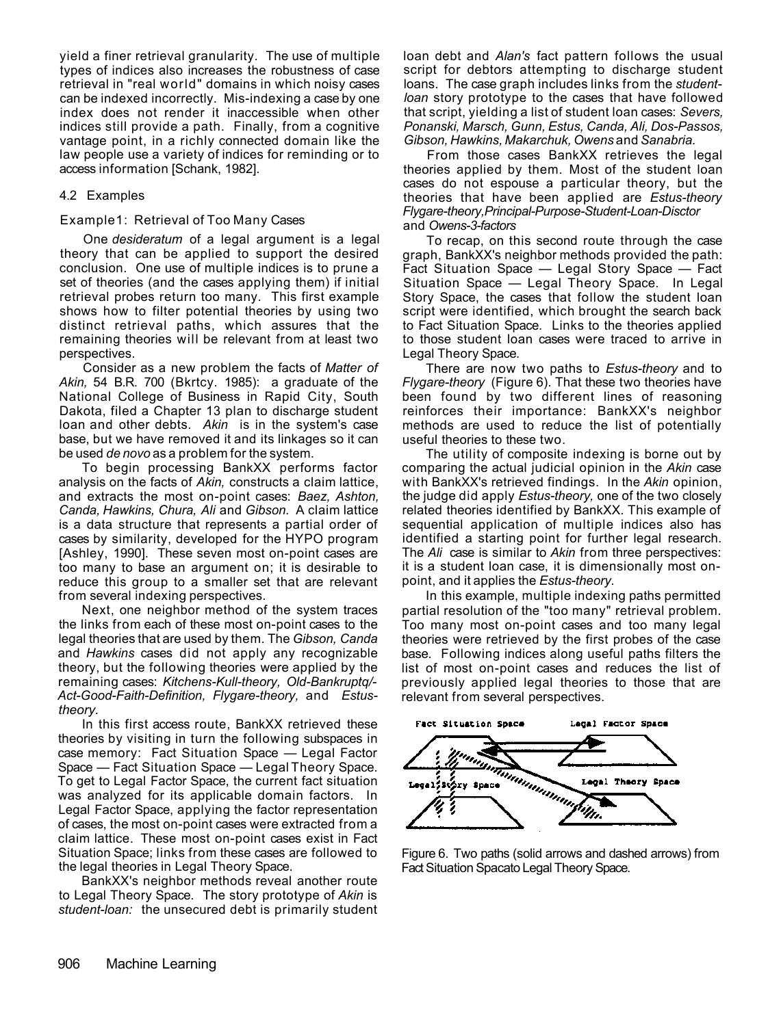yield a finer retrieval granularity. The use of multiple types of indices also increases the robustness of case retrieval in "real world" domains in which noisy cases can be indexed incorrectly. Mis-indexing a case by one index does not render it inaccessible when other indices still provide a path. Finally, from a cognitive vantage point, in a richly connected domain like the law people use a variety of indices for reminding or to access information [Schank, 1982].

### 4.2 Examples

#### Example1: Retrieval of Too Many Cases

One *desideratum* of a legal argument is a legal theory that can be applied to support the desired conclusion. One use of multiple indices is to prune a set of theories (and the cases applying them) if initial retrieval probes return too many. This first example shows how to filter potential theories by using two distinct retrieval paths, which assures that the remaining theories will be relevant from at least two perspectives.

Consider as a new problem the facts of *Matter of Akin,* 54 B.R. 700 (Bkrtcy. 1985): a graduate of the National College of Business in Rapid City, South Dakota, filed a Chapter 13 plan to discharge student loan and other debts. *Akin* is in the system's case base, but we have removed it and its linkages so it can be used *de novo* as a problem for the system.

To begin processing BankXX performs factor analysis on the facts of *Akin,* constructs a claim lattice, and extracts the most on-point cases: *Baez, Ashton, Canda, Hawkins, Chura, Ali* and *Gibson.* A claim lattice is a data structure that represents a partial order of cases by similarity, developed for the HYPO program [Ashley, 1990]. These seven most on-point cases are too many to base an argument on; it is desirable to reduce this group to a smaller set that are relevant from several indexing perspectives.

Next, one neighbor method of the system traces the links from each of these most on-point cases to the legal theories that are used by them. The *Gibson, Canda*  and *Hawkins* cases did not apply any recognizable theory, but the following theories were applied by the remaining cases: *Kitchens-Kull-theory, Old-Bankruptq/- Act-Good-Faith-Definition, Flygare-theory,* and *Estustheory.* 

In this first access route, BankXX retrieved these theories by visiting in turn the following subspaces in case memory: Fact Situation Space — Legal Factor Space — Fact Situation Space — Legal Theory Space. To get to Legal Factor Space, the current fact situation was analyzed for its applicable domain factors. In Legal Factor Space, applying the factor representation of cases, the most on-point cases were extracted from a claim lattice. These most on-point cases exist in Fact Situation Space; links from these cases are followed to the legal theories in Legal Theory Space.

BankXX's neighbor methods reveal another route to Legal Theory Space. The story prototype of *Akin* is *student-loan:* the unsecured debt is primarily student loan debt and *Alan's* fact pattern follows the usual script for debtors attempting to discharge student loans. The case graph includes links from the *studentloan* story prototype to the cases that have followed that script, yielding a list of student loan cases: *Severs, Ponanski, Marsch, Gunn, Estus, Canda, Ali, Dos-Passos, Gibson, Hawkins, Makarchuk, Owens* and *Sanabria.* 

From those cases BankXX retrieves the legal theories applied by them. Most of the student loan cases do not espouse a particular theory, but the theories that have been applied are *Estus-theory Flygare-theory,Principal-Purpose-Student-Loan-Disctor*  and *Owens-3-factors* 

To recap, on this second route through the case graph, BankXX's neighbor methods provided the path: Fact Situation Space — Legal Story Space — Fact Situation Space — Legal Theory Space. In Legal Story Space, the cases that follow the student loan script were identified, which brought the search back to Fact Situation Space. Links to the theories applied to those student loan cases were traced to arrive in Legal Theory Space.

There are now two paths to *Estus-theory* and to *Flygare-theory* (Figure 6). That these two theories have been found by two different lines of reasoning reinforces their importance: BankXX's neighbor methods are used to reduce the list of potentially useful theories to these two.

The utility of composite indexing is borne out by comparing the actual judicial opinion in the *Akin* case with BankXX's retrieved findings. In the *Akin* opinion, the judge did apply *Estus-theory,* one of the two closely related theories identified by BankXX. This example of sequential application of multiple indices also has identified a starting point for further legal research. The *Ali* case is similar to *Akin* from three perspectives: it is a student loan case, it is dimensionally most onpoint, and it applies the *Estus-theory.* 

In this example, multiple indexing paths permitted partial resolution of the "too many" retrieval problem. Too many most on-point cases and too many legal theories were retrieved by the first probes of the case base. Following indices along useful paths filters the list of most on-point cases and reduces the list of previously applied legal theories to those that are relevant from several perspectives.



Figure 6. Two paths (solid arrows and dashed arrows) from Fact Situation Spacato Legal Theory Space.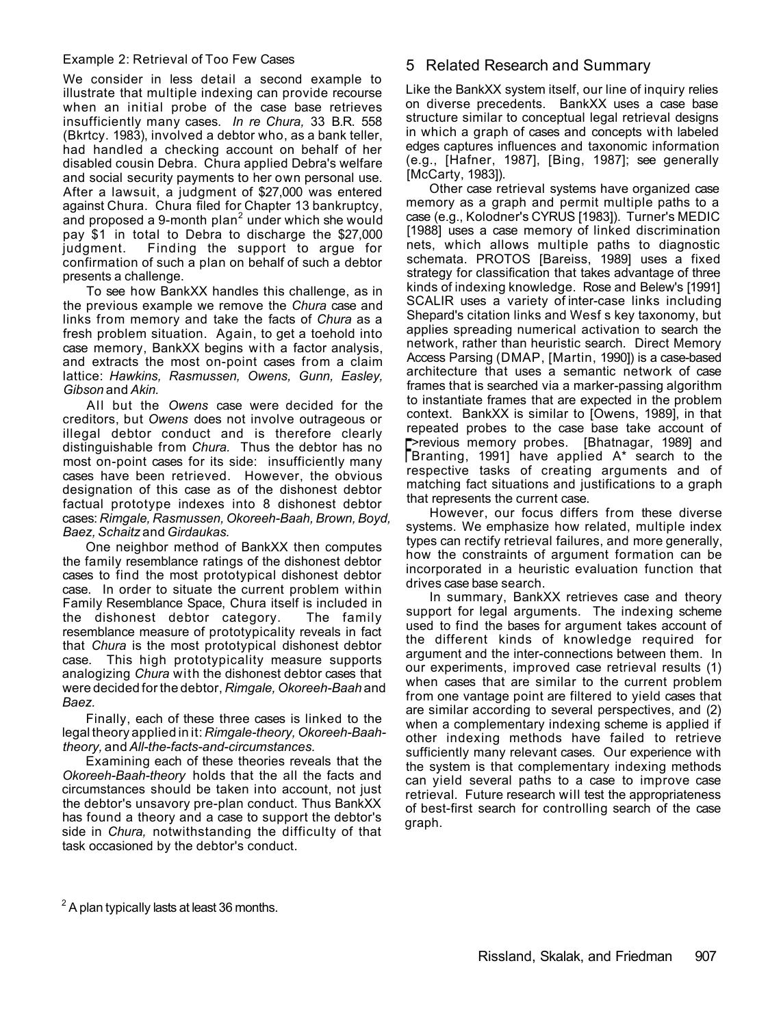#### Example 2: Retrieval of Too Few Cases

We consider in less detail a second example to illustrate that multiple indexing can provide recourse when an initial probe of the case base retrieves insufficiently many cases. *In re Chura,* 33 B.R. 558 (Bkrtcy. 1983), involved a debtor who, as a bank teller, had handled a checking account on behalf of her disabled cousin Debra. Chura applied Debra's welfare and social security payments to her own personal use. After a lawsuit, a judgment of \$27,000 was entered against Chura. Chura filed for Chapter 13 bankruptcy, and proposed a 9-month plan<sup>2</sup> under which she would pay \$1 in total to Debra to discharge the \$27,000 judgment. Finding the support to argue for confirmation of such a plan on behalf of such a debtor presents a challenge.

To see how BankXX handles this challenge, as in the previous example we remove the *Chura* case and links from memory and take the facts of *Chura* as a fresh problem situation. Again, to get a toehold into case memory, BankXX begins with a factor analysis, and extracts the most on-point cases from a claim lattice: *Hawkins, Rasmussen, Owens, Gunn, Easley, Gibson* and *Akin.* 

All but the Owens case were decided for the creditors, but *Owens* does not involve outrageous or illegal debtor conduct and is therefore clearly distinguishable from *Chura.* Thus the debtor has no most on-point cases for its side: insufficiently many cases have been retrieved. However, the obvious designation of this case as of the dishonest debtor factual prototype indexes into 8 dishonest debtor cases: *Rimgale, Rasmussen, Okoreeh-Baah, Brown, Boyd, Baez, Schaitz* and *Girdaukas.* 

One neighbor method of BankXX then computes the family resemblance ratings of the dishonest debtor cases to find the most prototypical dishonest debtor case. In order to situate the current problem within Family Resemblance Space, Chura itself is included in the dishonest debtor category. The family resemblance measure of prototypicality reveals in fact that *Chura* is the most prototypical dishonest debtor case. This high prototypicality measure supports analogizing *Chura* with the dishonest debtor cases that were decided for the debtor, *Rimgale, Okoreeh-Baah* and *Baez.* 

Finally, each of these three cases is linked to the legal theory applied in it: *Rimgale-theory, Okoreeh-Baahtheory,* and *All-the-facts-and-circumstances.* 

Examining each of these theories reveals that the *Okoreeh-Baah-theory* holds that the all the facts and circumstances should be taken into account, not just the debtor's unsavory pre-plan conduct. Thus BankXX has found a theory and a case to support the debtor's side in *Chura,* notwithstanding the difficulty of that task occasioned by the debtor's conduct.

### 5 Related Research and Summary

Like the BankXX system itself, our line of inquiry relies on diverse precedents. BankXX uses a case base structure similar to conceptual legal retrieval designs in which a graph of cases and concepts with labeled edges captures influences and taxonomic information (e.g., [Hafner, 1987], [Bing, 1987]; see generally [McCarty, 1983]).

Other case retrieval systems have organized case memory as a graph and permit multiple paths to a case (e.g., Kolodner's CYRUS [1983]). Turner's MEDIC [1988] uses a case memory of linked discrimination nets, which allows multiple paths to diagnostic schemata. PROTOS [Bareiss, 1989] uses a fixed strategy for classification that takes advantage of three kinds of indexing knowledge. Rose and Belew's [1991] SCALIR uses a variety of inter-case links including Shepard's citation links and Wesf s key taxonomy, but applies spreading numerical activation to search the network, rather than heuristic search. Direct Memory Access Parsing (DMAP, [Martin, 1990]) is a case-based architecture that uses a semantic network of case frames that is searched via a marker-passing algorithm to instantiate frames that are expected in the problem context. BankXX is similar to [Owens, 1989], in that repeated probes to the case base take account of F Branting, 1991] have applied A\* search to the >revious memory probes. [Bhatnagar, 1989] and respective tasks of creating arguments and of matching fact situations and justifications to a graph that represents the current case.

However, our focus differs from these diverse systems. We emphasize how related, multiple index types can rectify retrieval failures, and more generally, how the constraints of argument formation can be incorporated in a heuristic evaluation function that drives case base search.

In summary, BankXX retrieves case and theory support for legal arguments. The indexing scheme used to find the bases for argument takes account of the different kinds of knowledge required for argument and the inter-connections between them. In our experiments, improved case retrieval results (1) when cases that are similar to the current problem from one vantage point are filtered to yield cases that are similar according to several perspectives, and (2) when a complementary indexing scheme is applied if other indexing methods have failed to retrieve sufficiently many relevant cases. Our experience with the system is that complementary indexing methods can yield several paths to a case to improve case retrieval. Future research will test the appropriateness of best-first search for controlling search of the case graph.

 $^{2}$  A plan typically lasts at least 36 months.